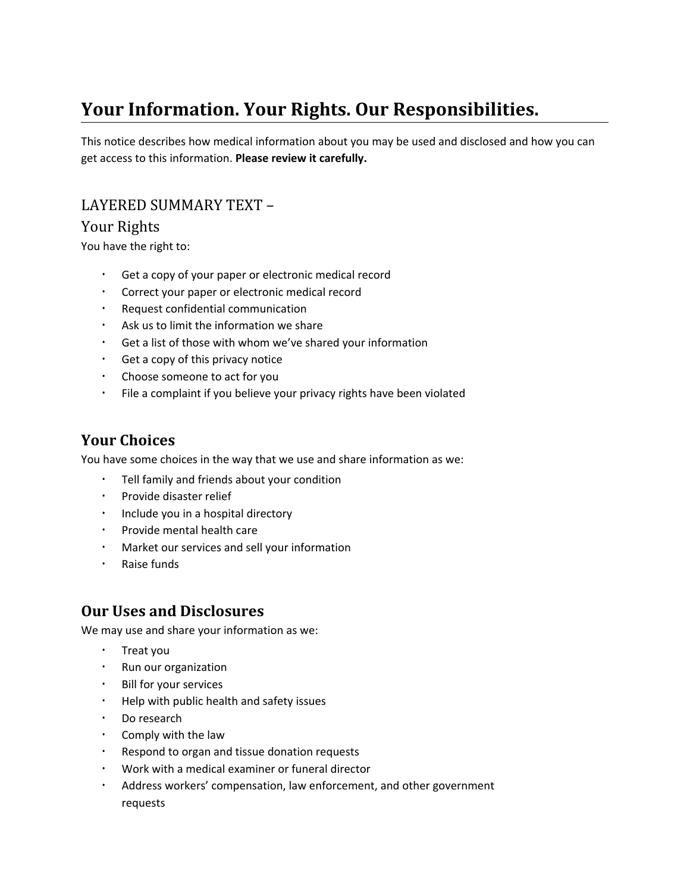# **Your Information. Your Rights. Our Responsibilities.**

This notice describes how medical information about you may be used and disclosed and how you can get access to this information. **Please review it carefully.**

## LAYERED SUMMARY TEXT –

### Your Rights

You have the right to:

- Get a copy of your paper or electronic medical record
- Correct your paper or electronic medical record
- Request confidential communication
- Ask us to limit the information we share
- Get a list of those with whom we've shared your information
- Get a copy of this privacy notice
- Choose someone to act for you
- File a complaint if you believe your privacy rights have been violated

## **Your Choices**

You have some choices in the way that we use and share information as we:

- Tell family and friends about your condition
- Provide disaster relief
- Include you in a hospital directory
- Provide mental health care
- Market our services and sell your information
- Raise funds

### **Our Uses and Disclosures**

We may use and share your information as we:

- Treat you
- Run our organization
- Bill for your services
- Help with public health and safety issues
- Do research
- Comply with the law
- Respond to organ and tissue donation requests
- Work with a medical examiner or funeral director
- Address workers' compensation, law enforcement, and other government requests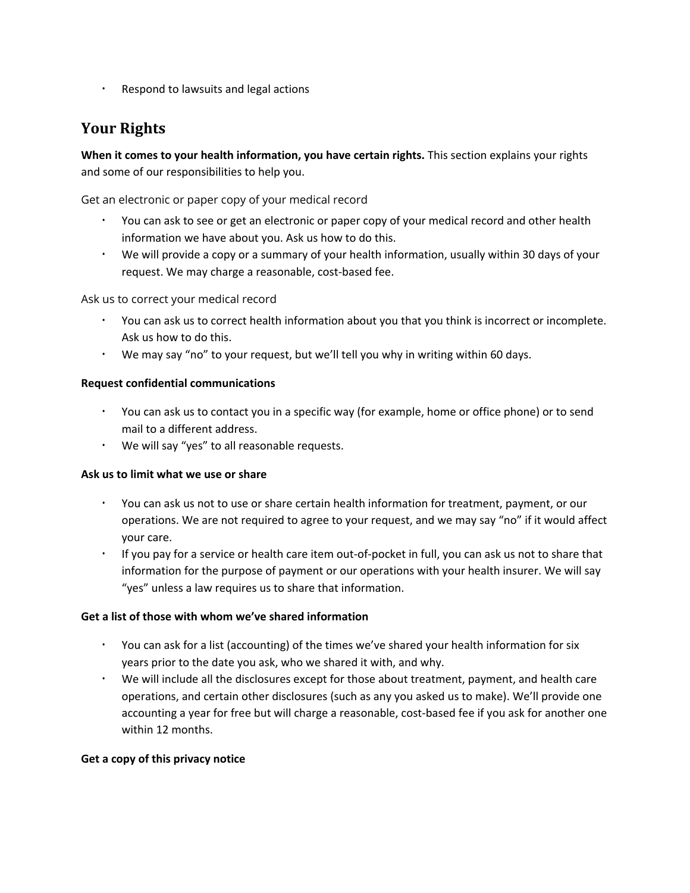• Respond to lawsuits and legal actions

## **Your Rights**

**When it comes to your health information, you have certain rights.** This section explains your rights and some of our responsibilities to help you.

Get an electronic or paper copy of your medical record

- You can ask to see or get an electronic or paper copy of your medical record and other health information we have about you. Ask us how to do this.
- We will provide a copy or a summary of your health information, usually within 30 days of your request. We may charge a reasonable, cost-based fee.

Ask us to correct your medical record

- You can ask us to correct health information about you that you think is incorrect or incomplete. Ask us how to do this.
- We may say "no" to your request, but we'll tell you why in writing within 60 days.

#### **Request confidential communications**

- You can ask us to contact you in a specific way (for example, home or office phone) or to send mail to a different address.
- We will say "yes" to all reasonable requests.

#### **Ask us to limit what we use or share**

- You can ask us not to use or share certain health information for treatment, payment, or our operations. We are not required to agree to your request, and we may say "no" if it would affect your care.
- If you pay for a service or health care item out-of-pocket in full, you can ask us not to share that information for the purpose of payment or our operations with your health insurer. We will say "yes" unless a law requires us to share that information.

#### **Get a list of those with whom we've shared information**

- You can ask for a list (accounting) of the times we've shared your health information for six years prior to the date you ask, who we shared it with, and why.
- We will include all the disclosures except for those about treatment, payment, and health care operations, and certain other disclosures (such as any you asked us to make). We'll provide one accounting a year for free but will charge a reasonable, cost-based fee if you ask for another one within 12 months.

#### **Get a copy of this privacy notice**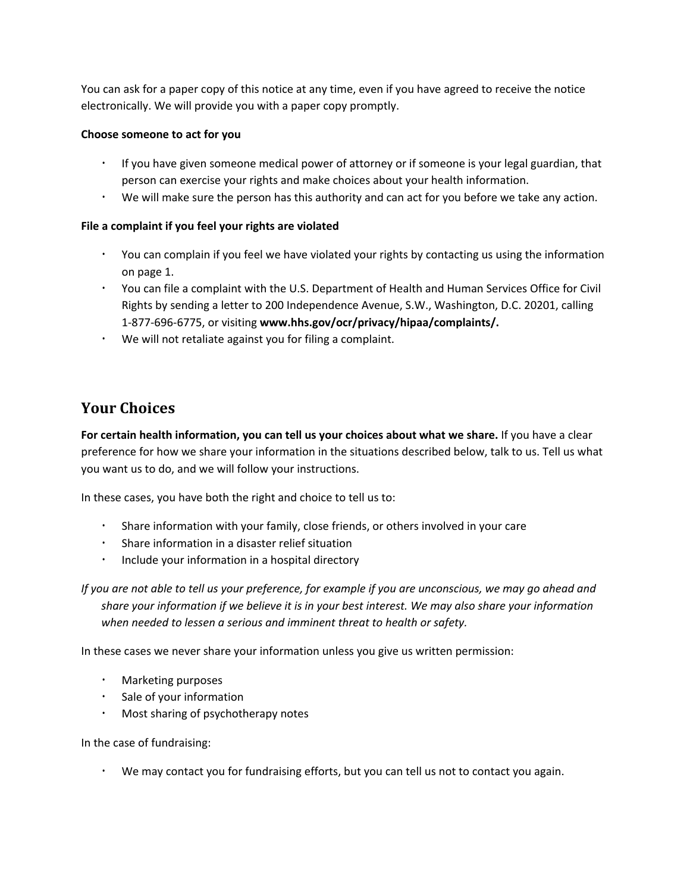You can ask for a paper copy of this notice at any time, even if you have agreed to receive the notice electronically. We will provide you with a paper copy promptly.

#### **Choose someone to act for you**

- If you have given someone medical power of attorney or if someone is your legal guardian, that person can exercise your rights and make choices about your health information.
- We will make sure the person has this authority and can act for you before we take any action.

#### **File a complaint if you feel your rights are violated**

- You can complain if you feel we have violated your rights by contacting us using the information on page 1.
- You can file a complaint with the U.S. Department of Health and Human Services Office for Civil Rights by sending a letter to 200 Independence Avenue, S.W., Washington, D.C. 20201, calling 1-877-696-6775, or visiting **www.hhs.gov/ocr/privacy/hipaa/complaints/.**
- We will not retaliate against you for filing a complaint.

## **Your Choices**

**For certain health information, you can tell us your choices about what we share.** If you have a clear preference for how we share your information in the situations described below, talk to us. Tell us what you want us to do, and we will follow your instructions.

In these cases, you have both the right and choice to tell us to:

- Share information with your family, close friends, or others involved in your care
- Share information in a disaster relief situation
- Include your information in a hospital directory

If you are not able to tell us your preference, for example if you are unconscious, we may go ahead and share your information if we believe it is in your best interest. We may also share your information *when needed to lessen a serious and imminent threat to health or safety.*

In these cases we never share your information unless you give us written permission:

- Marketing purposes
- Sale of your information
- Most sharing of psychotherapy notes

In the case of fundraising:

• We may contact you for fundraising efforts, but you can tell us not to contact you again.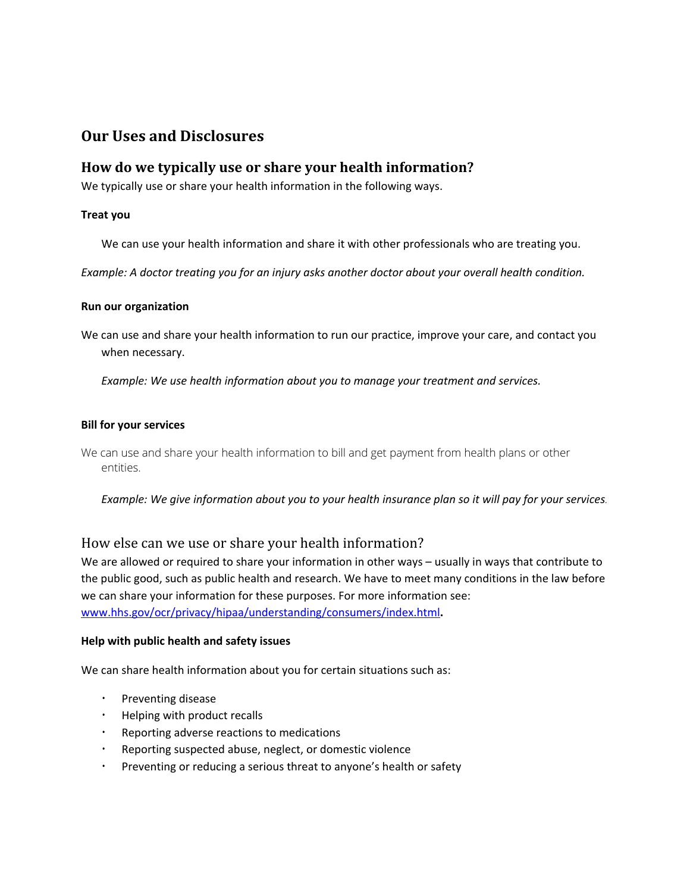### **Our Uses and Disclosures**

### **How do we typically use or share your health information?**

We typically use or share your health information in the following ways.

#### **Treat you**

We can use your health information and share it with other professionals who are treating you.

*Example: A doctor treating you for an injury asks another doctor about your overall health condition.*

#### **Run our organization**

We can use and share your health information to run our practice, improve your care, and contact you when necessary.

*Example: We use health information about you to manage your treatment and services.*

#### **Bill for your services**

We can use and share your health information to bill and get payment from health plans or other entities.

Example: We give information about you to your health insurance plan so it will pay for your services.

### How else can we use or share your health information?

We are allowed or required to share your information in other ways – usually in ways that contribute to the public good, such as public health and research. We have to meet many conditions in the law before we can share your information for these purposes. For more information see: [www.hhs.gov/ocr/privacy/hipaa/understanding/consumers/index.html](http://www.hhs.gov/ocr/privacy/hipaa/understanding/consumers/index.html)**.**

#### **Help with public health and safety issues**

We can share health information about you for certain situations such as:

- Preventing disease
- Helping with product recalls
- Reporting adverse reactions to medications
- Reporting suspected abuse, neglect, or domestic violence
- Preventing or reducing a serious threat to anyone's health or safety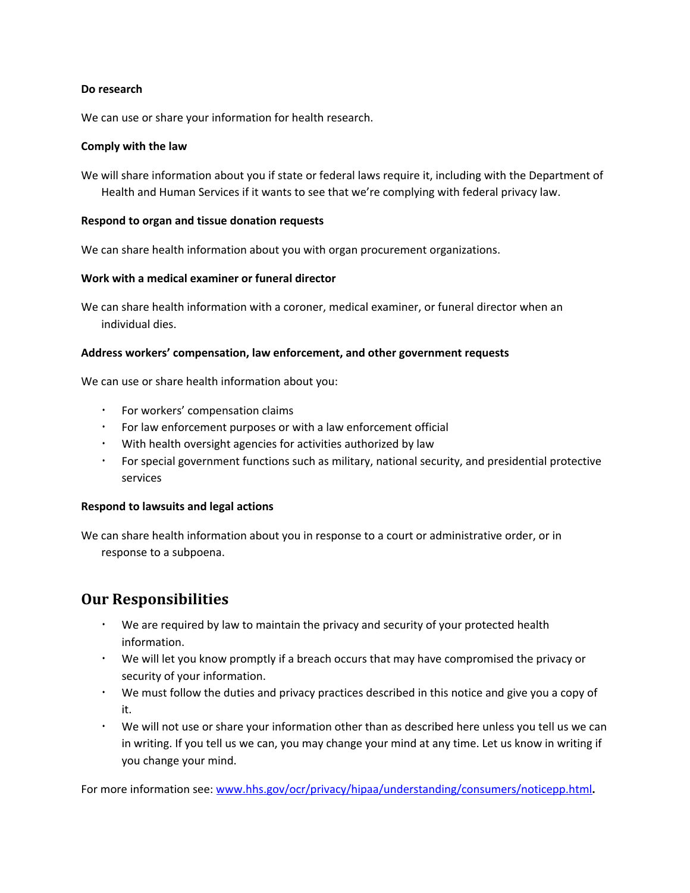#### **Do research**

We can use or share your information for health research.

#### **Comply with the law**

We will share information about you if state or federal laws require it, including with the Department of Health and Human Services if it wants to see that we're complying with federal privacy law.

#### **Respond to organ and tissue donation requests**

We can share health information about you with organ procurement organizations.

#### **Work with a medical examiner or funeral director**

We can share health information with a coroner, medical examiner, or funeral director when an individual dies.

#### **Address workers' compensation, law enforcement, and other government requests**

We can use or share health information about you:

- For workers' compensation claims
- For law enforcement purposes or with a law enforcement official
- With health oversight agencies for activities authorized by law
- For special government functions such as military, national security, and presidential protective services

#### **Respond to lawsuits and legal actions**

We can share health information about you in response to a court or administrative order, or in response to a subpoena.

### **Our Responsibilities**

- We are required by law to maintain the privacy and security of your protected health information.
- We will let you know promptly if a breach occurs that may have compromised the privacy or security of your information.
- We must follow the duties and privacy practices described in this notice and give you a copy of it.
- We will not use or share your information other than as described here unless you tell us we can in writing. If you tell us we can, you may change your mind at any time. Let us know in writing if you change your mind.

For more information see: [www.hhs.gov/ocr/privacy/hipaa/understanding/consumers/noticepp.html](http://www.hhs.gov/ocr/privacy/hipaa/understanding/consumers/noticepp.html)**.**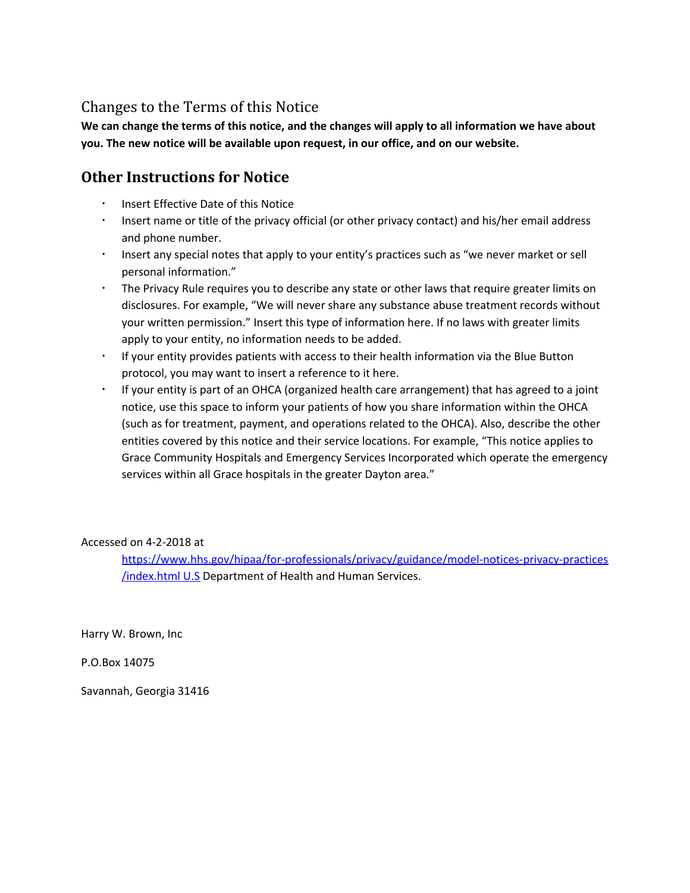# Changes to the Terms of this Notice

We can change the terms of this notice, and the changes will apply to all information we have about **you. The new notice will be available upon request, in our office, and on our website.**

# **Other Instructions for Notice**

- Insert Effective Date of this Notice
- Insert name or title of the privacy official (or other privacy contact) and his/her email address and phone number.
- Insert any special notes that apply to your entity's practices such as "we never market or sell personal information."
- The Privacy Rule requires you to describe any state or other laws that require greater limits on disclosures. For example, "We will never share any substance abuse treatment records without your written permission." Insert this type of information here. If no laws with greater limits apply to your entity, no information needs to be added.
- If your entity provides patients with access to their health information via the Blue Button protocol, you may want to insert a reference to it here.
- If your entity is part of an OHCA (organized health care arrangement) that has agreed to a joint notice, use this space to inform your patients of how you share information within the OHCA (such as for treatment, payment, and operations related to the OHCA). Also, describe the other entities covered by this notice and their service locations. For example, "This notice applies to Grace Community Hospitals and Emergency Services Incorporated which operate the emergency services within all Grace hospitals in the greater Dayton area."

#### Accessed on 4-2-2018 at

[https://www.hhs.gov/hipaa/for-professionals/privacy/guidance/model-notices-privacy-practices](https://www.hhs.gov/hipaa/for-professionals/privacy/guidance/model-notices-privacy-practices/index.html%20U.S) [/index.html](https://www.hhs.gov/hipaa/for-professionals/privacy/guidance/model-notices-privacy-practices/index.html%20U.S) U.S Department of Health and Human Services.

Harry W. Brown, Inc

P.O.Box 14075

Savannah, Georgia 31416